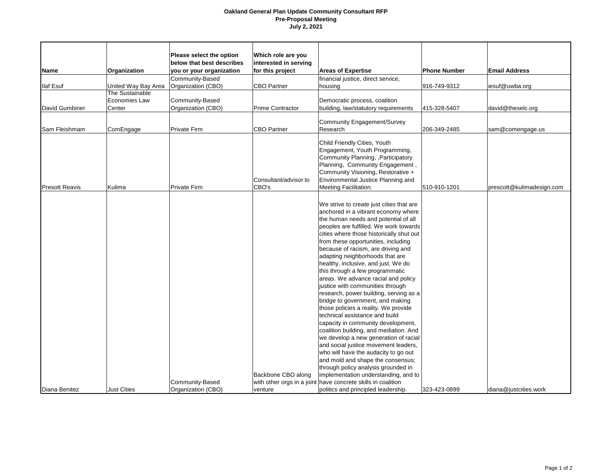## **Oakland General Plan Update Community Consultant RFP Pre-Proposal Meeting July 2, 2021**

|                       |                     | Please select the option  | Which role are you      |                                                              |                     |                           |
|-----------------------|---------------------|---------------------------|-------------------------|--------------------------------------------------------------|---------------------|---------------------------|
|                       |                     | below that best describes | interested in serving   |                                                              |                     |                           |
| <b>Name</b>           | Organization        | you or your organization  | for this project        | <b>Areas of Expertise</b>                                    | <b>Phone Number</b> | <b>Email Address</b>      |
|                       |                     | Community-Based           |                         | financial justice, direct service,                           |                     |                           |
| <b>Ilaf Esuf</b>      | United Way Bay Area | Organization (CBO)        | <b>CBO Partner</b>      | housing                                                      | 916-749-9312        | iesuf@uwba.org            |
|                       | The Sustainable     |                           |                         |                                                              |                     |                           |
|                       | Economies Law       | Community-Based           |                         | Democratic process, coalition                                |                     |                           |
| David Gumbiner        | Center              | Organization (CBO)        | <b>Prime Contractor</b> | building, law/statutory requirements                         | 415-328-5407        | david@theselc.org         |
|                       |                     |                           |                         |                                                              |                     |                           |
|                       |                     |                           |                         | <b>Community Engagement/Survey</b>                           |                     |                           |
| Sam Fleishmam         | ComEngage           | <b>Private Firm</b>       | <b>CBO Partner</b>      | Research                                                     | 206-349-2485        | sam@comengage.us          |
|                       |                     |                           |                         | Child Friendly Cities, Youth                                 |                     |                           |
|                       |                     |                           |                         |                                                              |                     |                           |
|                       |                     |                           |                         | Engagement, Youth Programming,                               |                     |                           |
|                       |                     |                           |                         | Community Planning, , Participatory                          |                     |                           |
|                       |                     |                           |                         | Planning, Community Engagement,                              |                     |                           |
|                       |                     |                           |                         | Community Visioning, Restorative +                           |                     |                           |
|                       |                     |                           | Consultant/advisor to   | Environmental Justice Planning and                           |                     |                           |
| <b>Presott Reavis</b> | Kulima              | Private Firm              | CBO's                   | Meeting Facilitation.                                        | 510-910-1201        | prescott@kulimadesign.com |
|                       |                     |                           |                         |                                                              |                     |                           |
|                       |                     |                           |                         | We strive to create just cities that are                     |                     |                           |
|                       |                     |                           |                         | anchored in a vibrant economy where                          |                     |                           |
|                       |                     |                           |                         | the human needs and potential of all                         |                     |                           |
|                       |                     |                           |                         | peoples are fulfilled. We work towards                       |                     |                           |
|                       |                     |                           |                         | cities where those historically shut out                     |                     |                           |
|                       |                     |                           |                         | from these opportunities, including                          |                     |                           |
|                       |                     |                           |                         | because of racism, are driving and                           |                     |                           |
|                       |                     |                           |                         | adapting neighborhoods that are                              |                     |                           |
|                       |                     |                           |                         | healthy, inclusive, and just. We do                          |                     |                           |
|                       |                     |                           |                         | this through a few programmatic                              |                     |                           |
|                       |                     |                           |                         | areas. We advance racial and policy                          |                     |                           |
|                       |                     |                           |                         | justice with communities through                             |                     |                           |
|                       |                     |                           |                         | research, power building, serving as a                       |                     |                           |
|                       |                     |                           |                         | bridge to government, and making                             |                     |                           |
|                       |                     |                           |                         | those policies a reality. We provide                         |                     |                           |
|                       |                     |                           |                         | technical assistance and build                               |                     |                           |
|                       |                     |                           |                         | capacity in community development,                           |                     |                           |
|                       |                     |                           |                         | coalition building, and mediation. And                       |                     |                           |
|                       |                     |                           |                         | we develop a new generation of racial                        |                     |                           |
|                       |                     |                           |                         | and social justice movement leaders,                         |                     |                           |
|                       |                     |                           |                         | who will have the audacity to go out                         |                     |                           |
|                       |                     |                           |                         | and mold and shape the consensus;                            |                     |                           |
|                       |                     |                           |                         | through policy analysis grounded in                          |                     |                           |
|                       |                     |                           |                         |                                                              |                     |                           |
|                       |                     |                           | Backbone CBO along      | implementation understanding, and to                         |                     |                           |
|                       |                     | Community-Based           |                         | with other orgs in a joint have concrete skills in coalition |                     |                           |
| Diana Benitez         | Just Cities         | Organization (CBO)        | venture                 | politics and principled leadership.                          | 323-423-0899        | diana@justcities.work     |